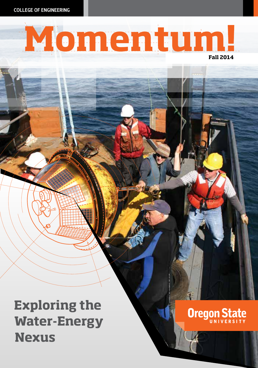COLLEGE OF ENGINEERING

# Momentum!

# **Exploring the Water-Energy Nexus**

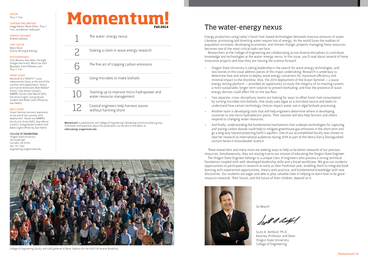#### EDITOR Thuy T. Tran

#### CONTRIBUTING WRITERS Gregg Kleiner, Marie Oliver, Thuy T. Tran, and Warren Volkmann

GRAPHIC DESIGNER Andrew Galluzzo

#### COPY EDITOR Marie Oliver

(Clarity Writing & Editing)

#### **PHOTOGRAPHERS**

Chris Becerra, Dan Hellin, Pat Kight (Oregon Sea Grant), Mitch Lea, Karl Maasdam, Kovit Pholsena, and Thuy T. Tran

#### FRONT COVER

Retrieval of a TRIAXYS™ wave measurement buoy at the end of the summer 2013 deployment. Shown are marine technicians Walt Waldorf (front), Tully Rohrer (center), NNMREC faculty Sean Moran (left), Ean Amon (right), and graduate student Josh Baker (rear) (Photo by Dan Hellin).

#### BACK COVER

Ocean Sentinel recovery operations at the end of the summer 2013 deployment. Shown are NNMREC faculty Ean Amon (left), Sean Moran (center), and graduate student Josh Baker (right) (Photo by Dan Hellin).

#### COLLEGE OF ENGINEERING

Oregon State University 101 Covell Hall Corvallis, OR 97331 541-737-3101 engineering.oregonstate.edu

## Momentum! **Fall 2014**

The water-energy nexus

6

. . . . . . . . . . . .

8

<u>. . . . . . . . . . . . . .</u>

10

. . . . . . . . . . . . . . .

12

Staking a claim in wave energy research

The fine art of trapping carbon emissions

Using microbes to make biofuels

Teaming up to improve micro hydropower and water resource management

Coastal engineers help harness waves without harming shore

Momentum! is published by the College of Engineering's Marketing Communications group. Comments and questions about this publication can be sent to the editor at editor@engr.oregonstate.edu



College of Engineering faculty and staff gathered at Reser Stadium for the 2013 Fall Awards Breakfast.

## The water-energy nexus

Energy production using today's fossil-fuel-based technologies demands massive amounts of water. Likewise, processing and diverting water require lots of energy. As the world faces the realities of population increases, developing economies, and climate change, properly managing these resources becomes one of the most critical tasks we face.

Researchers at the College of Engineering are collaborating across diverse disciplines to contribute knowledge and technologies at the water-energy nexus. In this issue, you'll read about several of these innovative projects and how they are moving the science forward.

- Oregon State University is taking leadership in the search for wave energy technologies, and two stories in this issue address pieces of this major undertaking. Research is underway to determine how and where to deploy wave energy converters for maximum efficiency and minimal impact to the shoreline. Also, the 2013 deployment of the Ocean Sentinel — a wave energy testing platform — provided an opportunity to study the integrity of its mooring system; a more sustainable, longer term solution to prevent biofouling; and how the presence of wave energy devices could affect life on the sea floor.
- Two separate, cross-disciplinary teams are looking for ways to offset fossil-fuel consumption by turning microbes into biofuels. One study uses algae as a microbial source and seeks to understand how certain technology choices impact water use in algal biofuels processing.
- Another team is developing tools that will help engineers determine where in developing countries to site micro hydroelectric plants. Their solution will also help farmers and others respond to changing water resources.
- And finally, understanding the fundamental mechanisms that underpin technologies for capturing and storing carbon dioxide could help to mitigate greenhouse gas emissions in the short term and go a long way toward protecting Earth's aquifers. One of our accomplished faculty was chosen to take her research to international audiences during 2014 as part of the Henry Darcy Distinguished Lecture Series in Groundwater Science.

These researchers and many more are seeking ways to help us be better stewards of our precious resources. Simultaneously, they are staying true to our mission of educating the Oregon State Engineer.

The Oregon State Engineer belongs to a unique class of engineers who possess a strong technical foundation coupled with well-developed leadership skills and a broad worldview. We give our students opportunities to participate in research as early as their freshman year, enabling them to integrate book learning with experiential opportunities, theory with practice, and fundamental knowledge with new discoveries. Our students are eager and able to play valuable roles in helping us learn how to be good resource stewards. Their future, and the future of their children, depend on it.



Go Beavs!

fest *4. 0.24*1

Scott A. Ashford, Ph.D. Kearney Professor and Dean Oregon State University College of Engineering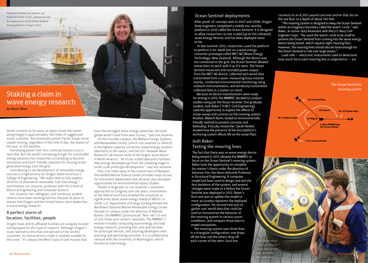*Professor Annette von Jouanne, on board the Pacific Storm, prepares for the first deployment of the Ocean Sentinel testing platform in August 2012.*

Staking a claim in wave energy research *By Marie Oliver*

Ocean currents as far away as Japan create the waves along Oregon's approximately 350 miles of rugged and scenic coastline. The immensely potent Pacific Ocean never ceases moving, regardless of the time of day, the season of the year, or the weather.

Harnessing power from this continual motion is not a new idea. But the world's increasing hunger for sustainable energy solutions has researchers scrambling to discover innovative and Earth-friendly solutions for moving oceangenerated energy onto the grid.

Contributing to the development of renewable energy sources is a high priority for Oregon State University's College of Engineering. "We really need to fully explore all forms of alternative renewable, fuel-free energy," said Annette von Jouanne, professor with the School of Electrical Engineering and Computer Science.

Von Jouanne, her colleagues, and numerous student cohorts have been working hard for the past 16 years to ensure that Oregon and the United States claim leadership in wave energy research.

### A perfect storm of location, facilities, people

Oregon State and its affiliated facilities are uniquely located and equipped for this type of research. Although Oregon's coast represents less than one percent of the world's coastlines, its characteristics make it innately suitable for this work. "It's always the West Coast of land masses that

have the strongest wave energy potentials, because global winds travel from west to east," said von Jouanne.

On the Corvallis campus, the Wallace Energy Systems and Renewables Facility (which von Jouanne co-directs) is the highest capacity university-based energy systems laboratory in the nation, and the O.H. Hinsdale Wave Research Lab houses some of the largest wave basins in North America. "All of our scaled laboratory facilities help energy developers go from the modeling stage to small-scale prototype development," said von Jouanne.

Fifty-two miles away in the coastal town of Newport, the Hatfield Marine Science Center provides ready access for instrument deployment and retrieval, plus abundant opportunities for environmental impact studies.

Thanks in large part to von Jouanne's consistent approaches to Congress over the years, investments at the federal level have enabled the university to significantly boost wave energy research efforts. In 2008, U.S. Department of Energy funding birthed the Northwest National Marine Renewable Energy Center. Housed on campus under the direction of Belinda Batten, the NNMREC (pronounced "Nim-rek") is one of only three such centers nationally. The NNMREC's mission includes conducting wave energy and tidal energy research, providing test sites and facilities for prototype devices, and assisting developers with planning and permitting activities. It is a collaborative venture with the University of Washington, which focuses on tidal energy.

#### Ocean Sentinel deployments

After proof-of-concept tests in 2007 and 2008, Oregon State engineers completed a mobile sea-worthy platform in 2012 called the Ocean Sentinel. It is designed to allow researchers to test scaled (up to 100-kilowatt) wave energy devices and has been deployed twice so far.

In late summer 2012, researchers used the platform to perform a six-week test on a wave energy converter prototype called WET-NZ (Wave Energy Technology–New Zealand). Although the device was not connected to the grid, the Ocean Sentinel allowed researchers to work with it as if it were. The Ocean Sentinel measured and recorded power output from the WET-NZ device, collected and stored data transmitted from a wave-measuring buoy moored nearby, conducted environmental monitoring using onboard instrumentation, and wirelessly transmitted collected data to a station on shore.

Because no device manufacturers were ready for testing in 2013, the NNMREC decided to conduct studies using just the Ocean Sentinel. One graduate student, Josh Baker ('13 M.S. Civil Engineering), used the opportunity to explore the effects of ocean waves and currents on the mooring system. Another, Malachi Bunn, tested an environmentally friendly method to prevent corrosion and biofouling. A faculty researcher, Sarah Henkel, studied how the presence of the test platform's anchoring system affects life on the ocean floor.

#### Josh Baker: Testing the mooring lines

The fact that there was no wave energy device being tested in 2013 allowed the NNMREC to focus on the Ocean Sentinel's mooring system. Baker took the opportunity to complete his master's thesis under the direction of Solomon Yim, the Glenn Holcomb Professor in Structural Engineering. A computer model had been used to design and test the first iterations of the system, and several changes were made to it before the Ocean Sentinel was deployed in 2012. Baker's first task was to update the model to more accurately represent the deployed configuration. His second task was to gather real-world data that could be used to characterize the behavior of the mooring system in various ocean conditions, and compare those data to model simulations.

The mooring system uses three lines in a triangular configuration; one drops off the bow and the others drop off each corner of the stern. Each line

connects to an 8,500-pound concrete anchor that sits on the sea floor at a depth of about 150 feet.

"The mooring system is designed to keep the Ocean Sentinel within an imaginary boundary called the watch-circle," said Baker, an active-duty lieutenant with the U.S. Navy Civil Engineer Corps. "You want the watch-circle to be small to prevent the Ocean Sentinel from running into the wave energy device being tested, which requires tight mooring lines. However, the mooring lines should also be loose enough for the Ocean Sentinel to ride over large waves."

Load cells — electronic instruments used to determine how much force each mooring line is subjected to — are



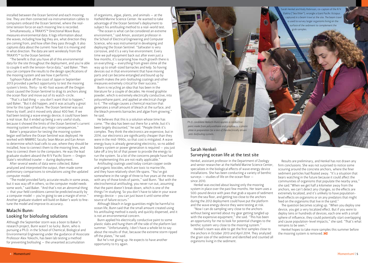installed between the Ocean Sentinel and each mooring line. They are then connected via instrumentation cables to computers onboard the Ocean Sentinel, where the realtime tension force on each mooring line is recorded.

Simultaneously, a TRIAXYS™ Directional Wave Buoy measures environmental data. It logs information about the waves, including how big they are, what direction they are coming from, and how often they pass through. It also captures data about the current: how fast it is moving and in what direction. The data are sent wirelessly from the TRIAXYS™ to the Ocean Sentinel.

"The benefit is that you have all of this environmental data for the site throughout the deployment, and you're able to couple it with the tension-force data," said Baker. "Then you can compare the results to the design specifications of the mooring system and see how it performs."

Typhoon Pabuk off the coast of Japan in September 2013 provided a perfect opportunity to test the mooring system's limits. Thirty- to 40-foot waves off the Oregon coast caused the Ocean Sentinel to drag its anchors along the ocean floor and move out of its watch-circle.

"That's a bad thing — you don't want that to happen," said Baker. "But it did happen, and it was actually a great time for this type of failure. The Ocean Sentinel was out there by itself, and it moved only about 400 feet. If we had been testing a wave energy device, it could have been a real issue. But it ended up being a very useful study, because it showed the limits of the Ocean Sentinel's current mooring system without any major consequences."

Baker's preparation for testing the mooring system began well before the Ocean Sentinel was deployed. He worked with NNMREC faculty Sean Moran and Ean Amon to determine which load cells to use, where they should be installed, how to connect them to the mooring lines, and how to connect them to the computers. He was the lead graduate student aboard the R/V Pacific Storm — Oregon State's retrofitted trawler — during deployment.

After several weeks of data were collected, Baker analyzed and interpreted the output, then made some preliminary comparisons to simulations using the updated computer model.

"The model provided fairly accurate results in some areas, but it was way off in others, so the computer model needs some work," said Baker. "And that's not an abnormal thing — that your field conditions cannot be predicted exactly by a computer model — you're going to see a margin of error." Another graduate student will build on Baker's work to finetune the model and improve its accuracy.

### Malachi Bunn: Looking for biofouling solutions

Although the September storm was a boon to Baker's research project, Bunn wasn't so lucky. Bunn, who is pursuing a Ph.D. in the School of Chemical, Biological and Environmental Engineering under the guidance of Associate Professor Alex Yokochi, has been lab testing a method for preventing biofouling — the unwanted accumulation

of organisms, algae, plants, and animals — at the Hatfield Marine Science Center. He wanted to take advantage of the Ocean Sentinel's deployment to subject his antifouling method to a real-world test.

"The ocean is what can be considered an extreme environment," said Amon, assistant professor in the School of Electrical Engineering and Computer Science, who was instrumental in developing and deploying the Ocean Sentinel. "Saltwater is very corrosive, and it's a very live environment. Every time we pull equipment back out after even just a few months, it's surprising how much growth there is on everything — everything from green slime all the way up to small-sized barnacles and kelp. So having devices out in that environment that have moving parts and can become entangled and bound up by growth makes the anti-biofouling coatings and other measures extremely critical for their success."

Bunn is recycling an idea that has been in the literature for a couple of decades. He mixed graphite powder, which is extremely electrically conductive, into polyurethane paint, and applied an electrical charge to it. "The voltage causes a chemical reaction that generates a small amount of bleach at the surface, and the bleach prevents barnacles and algae from growing," he said.

He believes that this is a solution whose time has come. "The idea has been out there for a while, but it's been largely discounted," he said. "People think it's complex. They think the electronics are expensive, but in 2014, our electronics are significantly cheaper than they were in the mid-1990s, so that cost is mitigated. A wave energy buoy is already generating electricity, so no added battery system or power generation is required — you just take off a tiny bit of that power to provide the energy to run the system. So a lot of the concerns people have had for implementing this are not really applicable."

Antifouling coatings used today contain copper oxide and organic biocides, which are toxic to marine life, and they have relatively short life spans. "You've got somewhere in the range of three to five years at the most with any of those kinds of paints," said Bunn. "But with the electrochemical antifouling, you never run out, assuming that the paint doesn't break down, which is one of the things I'm studying. So you don't have to take in your wave energy device — you can just leave it until some other source of failure occurs."

Although bleach in large quantities might be harmful to ocean life, Bunn said that the small amount created using his antifouling method is easily and quickly dispersed, and it is not an environmental concern.

Bunn applied his electrically conductive paint to some plastic slabs and hung them off the side of the platform last summer. "Unfortunately, I don't have a whole lot to say about the results of that, because the extreme storm ripped off the plates," he said.

But he's not giving up. He expects to have another opportunity to try again.

*Ph.D. candidate Malachi Bunn applies a conductive paint made from polyurethane and graphite to a plastic plate in preparation for a test of the electrically driven anti-biofouling system.*

## Sarah Henkel: Surveying ocean life at the test site

Henkel, assistant professor in the Department of Zoology and senior researcher at the Hatfield Marine Science Center, specializes in the biological effects of wave energy device installations. She has been conducting a variety of benthic surveys — studies of life on the ocean floor since 2010.

Henkel was excited about leaving only the mooring system in place over the past few months. Her team uses a 500-pound device with jaws that grab a square of sediment from the sea floor, and getting too close to the anchors during the 2012 deployment could have put the platform and the wave energy device they were testing at risk.

"Now I can do sampling very close to the anchors without being worried about my gear getting tangled up with the expensive equipment," she said. "This has been an opportunity for me to look for potential changes to the benthic system very close to the mooring system."

Henkel's team was able to get the first samples close to the anchors in October 2013 and April 2014. They analyzed the grain size of the sediment and identified and counted all organisms living in the sediment.

Results are preliminary, and Henkel has not drawn any firm conclusions. She was not surprised to notice some scouring around the concrete anchors, where the finer sediment particles had floated away. "It's a situation that bears watching in the future because it could affect the communities of organisms that populate the nearby area," she said."When we get half a kilometer away from the anchors, we can't detect any changes, so the effects are extremely localized, and it's unlikely to have populationlevel effects on organisms or on any predators that might feed on the organisms that live in the sand."

The question becomes scaling up. "When you deploy one device, you get a very localized effect. But if you were to deploy tens or hundreds of devices, each one with a small sphere of influence, they could potentially start overlapping and cause population-level impacts," she said. "That's what remains to be seen."

Henkel hopes to take more samples this summer before the mooring system is removed.  $M!$ 

4 | Momentum! | 5 | Momentum! | 5 | Momentum! | 5 | Momentum! | 5 | Momentum! | 5 | Momentum! | 5 | Momentum! | 5 | Momentum! | 5 | Momentum! | 5 | Momentum! | 5 | Momentum! | 5 | Momentum! | 5 | Momentum! | 5 | Momentum!



arah Henkel and Kody Robinson, co-captain of the R/V Elakha ("Sea Otter"), wrangle a Giant Pacific Octopus captured in a beam trawl at the site. The beam trawl is used to survey larger organisms living on the surface of the sediment to complement the grab samples.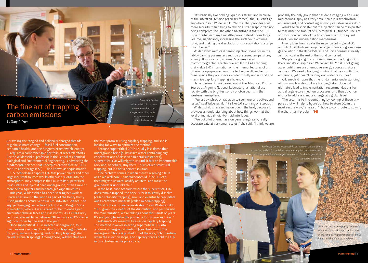## The fine art of trapping carbon emissions *By Thuy T. Tran*

Unraveling the tangled and politically charged threads of global climate change — fossil fuel consumption, economic health, and the progress of renewable energy — requires a comprehensive portfolio of research efforts. Dorthe Wildenschild, professor in the School of Chemical, Biological and Environmental Engineering, is advancing the fundamental science that underpins carbon dioxide (CO2) capture and storage (CSS) — also known as sequestration.

CSS technologies capture CO2 that power plants and other large industrial sources would otherwise release into the atmosphere. They compress the CO<sub>2</sub> into its supercritical (fluid) state and inject it deep underground, often a mile or more below aquifers and beneath geologic structures.

This year, Wildenschild has been sharing her work at universities around the world as part of the Henry Darcy Distinguished Lecture Series in Groundwater Science. She enjoyed bringing her lecture back home to Oregon State in mid-April, where it was a relief for her to once again encounter familiar faces and classrooms. As a 2014 Darcy Lecturer, she will have delivered 38 seminars in 37 cities in eight countries by the end of the year.

Once supercritical CO2 is injected underground, four mechanisms can take place: structural trapping, solubility trapping, mineral trapping, and capillary trapping (also called residual trapping). Among these, Wildenschild sees

the most promise using capillary trapping, and she is looking for ways to optimize the method.

*Professor Dorthe Wildenschild discusses a new approach to rock sample saturation with research associate Linnéa Andersson.*

Because supercritical CO<sub>2</sub> is usually less dense than underground brine (subsurface water containing high concentrations of dissolved mineral substances), supercritical CO2 will migrate up until it hits an impermeable rock and, hopefully, stay there. This is called structural trapping, but it's not a perfect solution.

"The problem comes in when there's a geologic fault or an old well bore," said Wildenschild. "The CO2 can then migrate upward, acidify aquifers, and make the groundwater undrinkable."

In the best-case scenario where the supercritical CO2 does remain trapped, the hope is for it to slowly dissolve (called solubility trapping), sink, and eventually precipitate out as carbonate minerals (called mineral trapping).

"That is the ultimate sequestration," said Wildenschild. "But, given the kinetics of the dissolution, and particularly the mineralization, we're talking about thousands of years. It's not going to solve the problems for us here and now."

Wildenschild's research focuses on capillary trapping. This method involves injecting supercritical CO2 into a porous underground medium (see illustration). The underground brine is pushed out of the way, only to return when the injection stops, and capillary forces hold the CO<sub>2</sub> in tiny clusters in the pore space.

"It's basically like holding liquid in a straw, and because of the interfacial tension (capillary forces), the CO2 can't go anywhere," said Wildenschild. "To me, that provides a lot more security than having to rely on a stratigraphic trap not being compromised. The other advantage is that the CO<sup>2</sup> is distributed in many tiny little pores instead of one large volume, significantly increasing the surface-to-volume ratio, and making the dissolution and precipitation steps go much faster."

Wildenschild mimics different injection scenarios in the lab by varying parameters such as pressure, temperature, salinity, flow rate, and volume. She uses x-ray microtomography, a technique similar to CAT scanning that yields 3-D information on the internal features of an otherwise opaque medium. The technique allows her to "see" inside the pore space in order to fully understand and maximize capillary trapping efficiency.

Her experiments are carried out at the Advanced Photon Source at Argonne National Laboratory, a national user facility with the brightest x-ray photon beams in the western hemisphere.

"We use synchrotron radiation to see more, and better, and faster," said Wildenschild. "It's like CAT scanning on steroids." Wildenschild's research is unique in the field, because it provides an understanding about how things work at the

level of individual fluid-to-fluid interfaces. "We put a lot of emphasis on generating really, really

accurate data at very small scales," she said. "I think we are

probably the only group that has done imaging with x-ray microtomography at a very small scale in a synchrotron environment, and controlling as many variables as we do."

Results so far indicate that the injection can be manipulated to maximize the amount of supercritical CO2 trapped. The size and local connectivity of the tiny pores affect subsequent dissolution and mineralization mechanisms.

Among fossil fuels, coal is the major culprit in global CO<sup>2</sup> outputs. Coal plants make up the largest source of greenhouse gas pollution in the United States, and China consumes nearly as much coal as the rest of the world combined.

"People are going to continue to use coal as long as it's there and it's cheap," said Wildenschild. "Coal is not going away until there are alternative energy sources that are as cheap. We need a bridging solution that deals with CO<sup>2</sup> emissions, yet doesn't destroy our water resources."

Wildenschild hopes that the fundamental understanding of how small-scale capillary trapping takes place will ultimately lead to implementation recommendations for actual large-scale injection processes, and thus advance efforts to address climate change at a global level.

"The dream is to find something by looking at these tiny pores that will help to figure out how to store CO2 in the most secure way," she said. "I hope to contribute to solving the short-term problem."M!

*Professor Dorthe Wildenschild, research associate Linnéa Anderson, and Ph.D. candidate Anna Herring discuss thermocouple readings providing the temperature record for their supercritical* 

*CO2 sequestration setup.*

*An x-ray microtomography image of a sandstone rock, showing a 3-D cutout of the sample. Trapped supercritical CO2 clusters are highlighted in yellow.*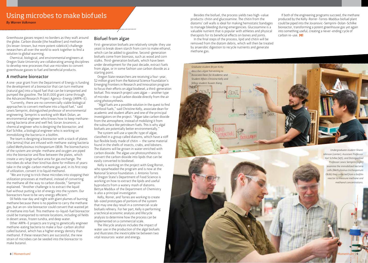Greenhouse gasses respect no borders as they waft around the globe. Carbon dioxide (the headliner) and methane (its lesser-known, but more potent sidekick) challenge researchers all over the world to work together to find a solution to global warming.

Chemical, biological, and environmental engineers at Oregon State University are collaborating among disciplines to develop new processes that use microbes to convert greenhouse gasses to fuel and beneficial products.

#### A methane bioreactor

A one-year grant from the Department of Energy is funding the development of a bioreactor that can turn methane (natural gas) into a liquid fuel that can be transported and pumped like gasoline. The \$631,000 grant came through the Advanced Research Project Agency–Energy (ARPA–E).

"Currently, there are no commercially viable biological approaches to convert methane into a liquid fuel," said Lewis Semprini, distinguished professor of environmental engineering. Semprini is working with Mark Dolan, an environmental engineer who knows how to keep methaneeating bacteria alive and well fed; Goran Jovanovic, a chemical engineer who is designing the bioreactor; and Karl Schilke, a biological engineer who is working on immobilizing the bacteria in a biofilm.

The team is designing a bioreactor with a stack of plates (the lamina) that are infused with methane-eating bacteria called *Methylosinus trichosporium OB3b*. The biomechanics of the system are simple: methane and oxygen are piped into the bioreactor and flow between the plates, which create a very large surface area for gas exchange. The microbes do what their kind has done for millions of years: take in the single-carbon methane gas and, in its first step of utilization, convert it to liquid methanol.

"We are trying to trick these microbes into stopping their utilization processes at methanol, instead of converting the methane all the way to carbon dioxide," Semprini explained. "Another challenge is to extract the liquid fuel without putting a lot of energy into the system. Our bioreactors have to be very energy efficient."

Oil fields roar day and night with giant plumes of burning methane because there is no pipeline to carry the methane gas, but an on-site bioreactor could convert that wasted jet of methane into fuel. This methane-to-liquid-fuel bioreactor could be transported to remote locations, including oil fields in desert areas, frozen tundra, and deep water.

Other ARPA–E projects are trying to genetically engineer methane-eating bacteria to make a four-carbon alcohol called butanol, which has a higher energy density than methanol. If these researchers are successful, the new strain of microbes can be seeded into the bioreactor to make butanol.

#### Biofuel from algae

First-generation biofuels are relatively simple: they use yeast to break down starch from corn to make ethanol, which can be added to gasoline. Second-generation biofuels come from biomass, such as wood and corn stalks. Third-generation biofuels, which have been under development for the past decade, extract fuels from algae, or in some fashion use carbon dioxide as a starting point.

Oregon State researchers are receiving a four-year, \$2 million grant from the National Science Foundation's Emerging Frontiers in Research and Innovation program to focus their efforts on algal biodiesel, a third-generation biofuel. This research project uses algae — another type of microbe — to pull carbon dioxide directly from the air using photosynthesis.

"Algal fuels are a possible solution in the quest to find nonfossil fuels," said Christine Kelly, associate dean for academic and student affairs and one of the principal investigators on the project. "Algae take carbon dioxide from the atmosphere, instead of mobilizing it from the subsurface like petroleum fuels. This is why algal biofuels are potentially better environmentally."

The system will use a specific type of algae, classified in a group called diatoms, which have a stiff but flexible body made of chitin — the same material found in the shells of insects, crabs, and lobsters. The diatoms will be grown in water enriched with carbon dioxide. The algae use photosynthesis to convert the carbon dioxide into lipids that can be easily converted to biodiesel.

Kelly is working on the project with Greg Rorrer, who spearheaded the program and is now at the National Science Foundation. J. Antonio Torres of Oregon State's Department of Food Science is working on how to extract the lipids and useful byproducts from a watery mash of diatoms. Bettye Maddux of the Department of Chemistry is also a principal investigator.

Kelly, Rorrer, and Torres are working to create lab-sized prototypes of portions of the system that may one day result in a commercial-scale biofuels refinery. For her part, Kelly is performing a technical economic analysis and lifecycle analysis to determine how the process can be implemented on a commercial scale.

The lifecycle analysis includes the impact of water use in the production of the algal biofuels and illustrates the inextricable tie between two vital resources: water and energy.

Besides the biofuel, the process yields two high-value products: chitin and glucosamine. The chitin from the diatoms' cell walls is ideal for making hemostatic bandages to manage bleeding during emergencies. Glucosamine is a valuable nutrient that is popular with athletes and physical therapists for its beneficial effects on bones and joints.

In the final steps of the process, lipid and chitin will be removed from the diatom debris, which will then be treated by anaerobic digestion to recycle nutrients and generate methane gas.

*Graduate student Bryan Kirby describes algae harvesting to Associate Dean for Academic and Student Affairs Christine Kelly and fellow student Xuwen Xiang.*

HORVES!  $-MCC$ 

If both of the engineering programs succeed, the methane produced by the Kelly-Rorrer-Torres-Maddux biofuel plant could be piped into the Jovanovic-Semprini-Dolan-Schilke bioreactor, transforming a potent greenhouse gas yet again into something useful, creating a never-ending cycle of carbon re-use. M!

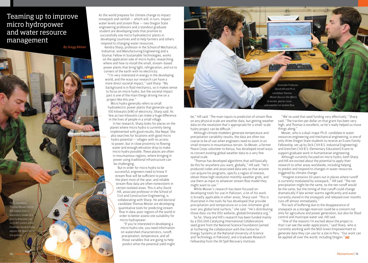## Teaming up to improve micro hydropower and water resource management

**By Gregg Kleiner** 

*Ph.D. candidate Thomas Mosier checks the output from a laboratory model of a pico hydropower (up to 5 kW) system while Professor Kendra Sharp adjusts the flow the turbine.*

As the world prepares for climate change to impact snowpack and rainfall — which will, in turn, impact water levels and stream flow — two Oregon State engineering professors and a standout graduate student are developing tools that promise to successfully site micro hydroelectric plants in developing countries and to help farmers and others respond to changing water resources.

Kendra Sharp, professor in the School of Mechanical, Industrial, and Manufacturing Engineering and a Glumac Fellow in Sustainable Technologies, works on the application side of micro hydro, researching where and how to install the small, stream-based power plants that bring light, refrigeration, and ice to corners of the earth with no electricity.

"I'm very interested in energy in the developing world, and the ways our research can have a more direct societal impact," said Sharp. "My background is in fluid mechanics, so it makes sense to focus on micro hydro, but the societal impact part is one of the main things driving me on a project like this one."

Micro hydro generally refers to small hydroelectric power plants that generate up to 100 kilowatts (kW) of electricity, Sharp said. As few as two kilowatts can make a huge difference in the lives of people in a small village.

In her research, Sharp looks for places on the planet where micro hydro is currently being implemented with good results, like Nepal. She also searches for locations with good micro hydro potential — villages with no access to power, but in close proximity to flowing water and enough elevation drop to make micro hydro possible. These places are often in mountainous regions, where bringing in power using traditional infrastructure can be challenging.

But in order for micro hydro to be successful, engineers need to know if stream flow will be sufficient to power the plant most of the year, and reliable stream flow data are often nonexistent in certain isolated areas. This is why David Hill, associate professor in the School of Civil and Construction Engineering, is collaborating with Sharp. He and doctoral candidate Thomas Mosier are developing quantitative tools for predicting stream flow in data-poor regions of the world in order to better assess site suitability for micro hydropower.

"If you're interested in developing a micro hydro site, you need information on watershed characteristics, runoff, precipitation, temperature, and all those variables that are going to help predict what the potential yield might



be," Hill said. "The main inputs to prediction of stream flow on any physical scale are weather data, but getting weather data on the resolution that's appropriate for a small-scale hydro project can be difficult."

Although climate modelers generate temperature and precipitation variability results, the data are often too coarse to be of use when engineers need to zoom in on small streams in mountainous terrain. So Mosier, a former Peace Corps volunteer to Kenya, has developed novel ways to convert existing global weather data to a very fine spatial scale.

"Thomas has developed algorithms that will basically do this for anywhere you want, globally," Hill said. "He's produced codes and associated data sets so that anyone can acquire his programs, specify a region of interest, obtain these high resolution monthly weather grids, and use them as input to whatever stream flow model they might want to use."

While Mosier's research has been focused on developing tools for use in Pakistan, a lot of his work is broadly applicable in other areas, Sharp said. "This is illustrated in the tools he has developed that provide precipitation and temperature on a one-kilometer grid over any global land surface," she said. "He's distributing those data via the OSU website, globalclimatedata.org."

So far, Sharp and Hill's research has been funded mainly by a \$50,000 Catalyzing International Collaborations seed grant from the National Science Foundation (aimed at furthering the collaboration with the Centre for Energy Systems at the National University of Science and Technology in Pakistan), and a Graduate Research Fellowship from the Oil Spill Recovery Institute.

"We've used that seed funding very effectively," Sharp said. "The traction per dollar on that grant has been very high, and Thomas is excellent, so he's really helped us move things along."

Mosier, who is a dual-major Ph.D. candidate in water resources engineering and mechanical engineering, is one of only three Oregon State students to receive an Evans Family Fellowship, set up by Dick ('69 B.S. Industrial Engineering) and Gretchen ('69 B.S. Elementary Education) Evans to support graduate work in humanitarian engineering.

Although currently focused on micro hydro, both Sharp and Hill are excited about the potential to apply their research to other areas worldwide, including helping to predict and respond to changes in water resources triggered by climate change.

"Imagine scenarios 50 years out in places where runoff is currently modulated by snowpack," Hill said. "The net precipitation might be the same, so the net runoff would be the same, but the timing of that runoff could change dramatically if late winter warms significantly and water currently stored in the snowpack and released over months runs off almost immediately."

This lack of buffering due to the disappearance of snowpack as a storage reservoir could be a concern not only for agriculture and power generation, but also for flood control and municipal water use, Hill said.

"One of the reasons I'm excited about the project is that I can see the wider applications," said Sharp, who is currently working with the NGO Green Empowerment to generate data they can use for a site in Peru. "Our work can be applied all over the world, including Oregon." $M!$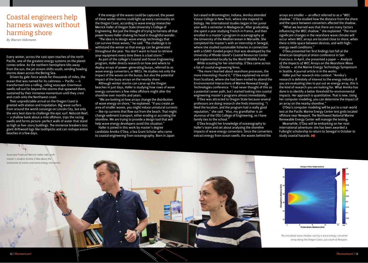## Coastal engineers help harness waves without harming shore

*By Warren Volkmann*

Every winter, across the vast open reaches of the north Pacific, one of the greatest energy systems on the planet comes online. As the northern hemisphere tilts away from the sun, the jet stream shifts south, sending howling storms down across the Bering Sea.

Driven by gale-force winds for thousands of miles, the ocean that was named for its calmness — Pacific — is transformed into a rolling, roiling seascape. Enormous swells roll out far beyond the storms that spawned them, sustained by their immense momentum until they crest and crash onto the Northwest coast.

Their unpredictable arrival on the Oregon Coast is greeted with elation and trepidation. Big wave surfers from around the world converge on Lincoln City, but only the very best dare to challenge the epic surf. Nelscott Reef, — a shallow bank about a mile offshore, trips the racing swells and forms picture-perfect walls of water that stand as high as five-story buildings. The immense breakers toss giant driftwood logs like toothpicks and can reshape entire beaches in a few days.

If the energy of the waves could be captured, the power of these winter storms could light up every community on the Oregon Coast, according to wave energy researcher Merrick Haller of Oregon State University's College of Engineering. But just the thought of trying to harness all that power leaves Haller shaking his head in thoughtful wonder. "The idea is to design wave energy technology that can survive those waves," he said. "The challenge is to withstand the winter so that energy can be generated throughout the year. You don't want to have to retrieve your equipment every time there is a bad storm."

As part of the college's Coastal and Ocean Engineering program, Haller directs research on how and where to deploy arrays of power-generating buoys, referred to as wave energy converters, or WECs. He studies not only the impact of the waves on the buoys, but also the potential impact of the buoy arrays on the nearby shore.

Although winter storms can carve up the Oregon beaches in just days, Haller is studying how rows of wave energy converters a few miles offshore might alter the shoreline over months and years.

"We are looking at how arrays change the distribution of wave energy on shore," he explained. "If you create an area of smaller waves, you might induce unnatural currents — like rip currents that flow out from the beach. That might change sediment transport, either eroding or accreting the shoreline. We are trying to provide a design tool that will help wave energy developers avoid this situation."

Haller is joined in this work by master's degree candidate Annika O'Dea, a Sea Grant Scholar who came to coastal engineering from oceanography. Born in Japan but raised in Bloomington, Indiana, Annika attended Vassar College in New York, where she majored in biology. Her international studies began in her junior year with a semester in Madagascar. After graduating, she spent a year studying French in France, and then enrolled in a master's program in oceanography at the University of the Mediterranean in Marseille. She completed the master's with an internship in Senegal, where she studied sustainable fisheries in connection with a USAID-funded project that was developed by the University of Rhode Island's Coastal Resources Center and implemented locally by the World Wildlife Fund.

While scouting for her internship, O'Dea came across a list of coastal engineering firms.

"The more I learned about nearshore processes, the more interesting I found it," O'Dea explained via email from Scotland, where she had been invited to attend the Environmental Interactions of Marine Renewal Energy Technologies conference. "I had never thought of this as a potential career path, but I started looking into coastal engineering master's programs almost immediately.

O'Dea was attracted to Oregon State because several professors are doing research she finds interesting. "I liked the location, and the program had a really good reputation," she said. "Also, my grandfather is an alumnus of the OSU College of Engineering, so I have family ties to the school."

O'Dea brought her knowledge of oceanography to Haller's team and set about analyzing the shoreline impacts of wave energy converters. Since the converters extract energy from ocean swells, the waves behind the

arrays are smaller — an effect referred to as a "WEC shadow." O'Dea studied how the distance from the shore and the space between converters affected the shadow.

"What we learned was that there are many factors influencing the WEC shadow," she explained. "The most significant changes in the nearshore wave climate will occur when WEC arrays are located close to shore, when there is little space between devices, and with highenergy swell conditions."

O'Dea presented her first findings last fall at the American Geophysical Union conference in San Francisco. In April, she presented a paper — *Analysis of the Impacts of WEC Arrays on the Nearshore Wave Climate* — at the Marine Energy Technology Symposium in Seattle. A journal article is in the works.

Haller put her research into context: "Annika's research is definitely of interest to the energy industry. If you are evaluating sites to put out an energy array, this is the kind of research you are looking for. What Annika has done is to identify a better threshold for environmental impacts. Her approach is quantitative. That is new. Using her computer modeling, you can determine the impact of an array on the nearby shoreline."

O'Dea's computer modeling will be put to a real-world test at the Pacific Marine Energy Center test grids located offshore near Newport. The Northwest National Marine Renewable Energy Center will manage the testing.

Meanwhile, O'Dea will be embarking on her next international adventure: she has been awarded a Fulbright scholarship to return to Senegal in October to study coastal hazards.  $M!$